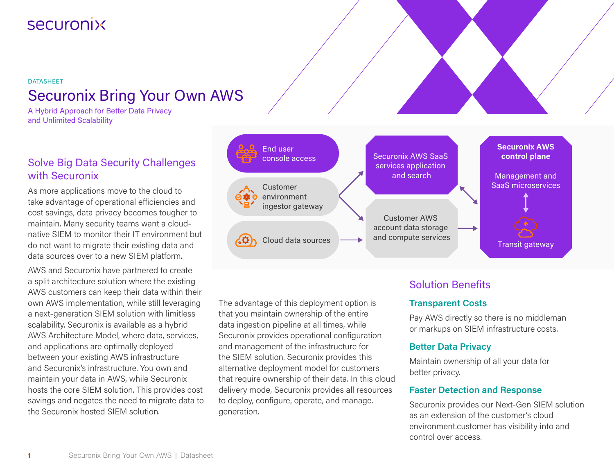# securonix

# DATASHEET Securonix Bring Your Own AWS

A Hybrid Approach for Better Data Privacy and Unlimited Scalability

## Solve Big Data Security Challenges with Securonix

As more applications move to the cloud to take advantage of operational efficiencies and cost savings, data privacy becomes tougher to maintain. Many security teams want a cloudnative SIEM to monitor their IT environment but do not want to migrate their existing data and data sources over to a new SIEM platform.

AWS and Securonix have partnered to create a split architecture solution where the existing AWS customers can keep their data within their own AWS implementation, while still leveraging a next-generation SIEM solution with limitless scalability. Securonix is available as a hybrid AWS Architecture Model, where data, services, and applications are optimally deployed between your existing AWS infrastructure and Securonix's infrastructure. You own and maintain your data in AWS, while Securonix hosts the core SIEM solution. This provides cost savings and negates the need to migrate data to the Securonix hosted SIEM solution.



The advantage of this deployment option is that you maintain ownership of the entire data ingestion pipeline at all times, while Securonix provides operational configuration and management of the infrastructure for the SIEM solution. Securonix provides this alternative deployment model for customers that require ownership of their data. In this cloud delivery mode, Securonix provides all resources to deploy, configure, operate, and manage. generation.

## Solution Benefits

#### **Transparent Costs**

Pay AWS directly so there is no middleman or markups on SIEM infrastructure costs.

## **Better Data Privacy**

Maintain ownership of all your data for better privacy.

#### **Faster Detection and Response**

Securonix provides our Next-Gen SIEM solution as an extension of the customer's cloud environment.customer has visibility into and control over access.